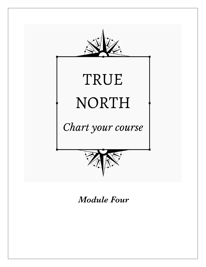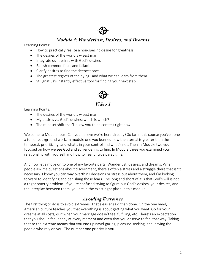

#### *Module 4: Wanderlust, Desires, and Dreams*

Learning Points:

- How to practically realize a non-specific desire for greatness
- The desires of the world's wisest man
- Integrate our desires with God's desires
- Banish common fears and fallacies
- Clarify desires to find the deepest ones
- The greatest regrets of the dying…and what we can learn from them
- St. Ignatius's instantly effective tool for finding your next step



Learning Points:

- The desires of the world's wisest man
- My desires vs. God's desires: which is which?
- The mindset shift that'll allow you to be content right now

Welcome to Module four! Can you believe we're here already? So far in this course you've done a ton of background work. In module one you learned how the eternal is greater than the temporal, prioritizing, and what's in your control and what's not. Then in Module two you focused on how we see God and surrendering to him. In Module three you examined your relationship with yourself and how to heal untrue paradigms.

And now let's move on to one of my favorite parts: Wanderlust, desires, and dreams. When people ask me questions about discernment, there's often a stress and a struggle there that isn't necessary. I know you can way overthink decisions or stress out about them, and I'm looking forward to identifying and banishing those fears. The long and short of it is that God's will is not a trigonometry problem! If you're confused trying to figure out God's desires, your desires, and the interplay between them, you are in the exact right place in this module.

## *Avoiding Extremes*

The first thing to do is to avoid extremes. That's easier said than done. On the one hand, American culture teaches you that everything is about getting what you want. Go for your dreams at all costs, quit when your marriage doesn't feel fulfilling, etc. There's an expectation that you should feel happy at every moment and even that you deserve to feel that way. Taking that to the extreme means that you end up navel-gazing, pleasure-seeking, and leaving the people who rely on you. The number one priority is you.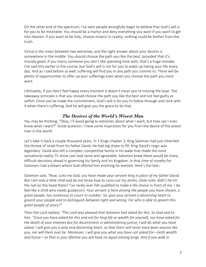On the other end of the spectrum, I've seen people wrongfully begin to believe that God's will is for you to be miserable. You should be a martyr and deny everything you want if you want to get into Heaven. If you want to be holy, choose misery! In reality, nothing could be farther from the truth.

Virtue is the mean between two extremes, and the right answer about your desires is somewhere in the middle. You should choose the path you like the best, provided that it's morally good. If you marry someone you don't like spending time with, that's a huge mistake. I've said this earlier in the course, but God's will is not for you to wake up hating your life every day. And as I said before as well, suffering will find you in any path you commit to. There will be plenty of opportunities to offer up your sufferings even when you choose the path you most want.

Ultimately, if you don't feel happy every moment it doesn't mean you're missing the boat. The takeaway principle is that you should choose the path you like the best and not feel guilty or selfish. Once you've made the commitment, God's will is for you to follow through and stick with it when there's suffering. And he will give you the grace to do that.

#### *The Desires of the World's Wisest Man*

You may be thinking, "Okay, I'll avoid going to extremes about what I want, but how can I even know what I want?" Great question. I have some inspiration for you from the desire of the wisest man in the world.

Let's take it back a couple thousand years. In 1 Kings chapter 3, King Solomon had just inherited the throne of Israel from his father David. He had big shoes to fill. King David's reign was legendary. David also left a complex, competitive family in his wake that made the most sensational reality TV show cast look tame and agreeable. Solomon knew there would be many difficult decisions ahead in governing his family and his kingdom. In that time of novelty for Solomon, had a dream where God offered him anything he wanted. Here's the text:

Solomon said, *"Now, LORD my God, you have made your servant king in place of my father David. But I am only a little child and do not know how to carry out my duties.* (Side note: didn't he hit the nail on the head there? I've rarely ever felt qualified to make a life choice in front of me. I do feel like a child who needs guidance!) *Your servant is here among the people you have chosen, a great people, too numerous to count or number. So, give your servant a discerning heart to govern your people and to distinguish between right and wrong. For who is able to govern this great people of yours?"*

Then the Lord replied, *"The Lord was pleased that Solomon had asked for this. So God said to him, "Since you have asked for this and not for long life or wealth for yourself, nor have asked for the death of your enemies but for discernment in administering justice, I will do what you have asked. I will give you a wise and discerning heart, so that there will never have been anyone like you, nor will there ever be. Moreover, I will give you what you have not asked for—both wealth and honor—so that in your lifetime you will have no equal among kings. And if you walk in*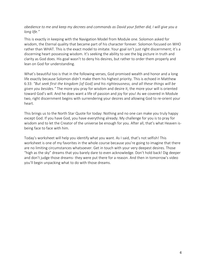#### *obedience to me and keep my decrees and commands as David your father did, I will give you a long life."*

This is exactly in keeping with the Navigation Model from Module one. Solomon asked for wisdom, the Eternal quality that became part of his character forever. Solomon focused on WHO rather than WHAT. This is the exact model to imitate. Your goal isn't just right discernment; it's a discerning heart possessing wisdom. It's seeking the ability to see the big picture in truth and clarity as God does. His goal wasn't to deny his desires, but rather to order them properly and lean on God for understanding.

What's beautiful too is that in the following verses, God promised wealth and honor and a long life exactly because Solomon didn't make them his highest priority. This is echoed in Matthew 6:33: *"But seek first the kingdom [of God] and his righteousness, and all these things will be given you besides."* The more you pray for wisdom and desire it, the more your will is oriented toward God's will. And he does want a life of passion and joy for you! As we covered in Module two, right discernment begins with surrendering your desires and allowing God to re-orient your heart.

This brings us to the North Star Quote for today: Nothing and no one can make you truly happy except God. If you have God, you have everything already. My challenge for you is to pray for wisdom and to let the Creator of the universe be enough for you. After all, that's what Heaven isbeing face to face with him.

Today's worksheet will help you identify what you want. As I said, that's not selfish! This worksheet is one of my favorites in the whole course because you're going to imagine that there are no limiting circumstances whatsoever. Get in touch with your very deepest desires. Those "high as the sky" dreams that you barely dare to even acknowledge. Don't hold back! Dig deeper and don't judge those dreams- they were put there for a reason. And then in tomorrow's video you'll begin unpacking what to do with those dreams.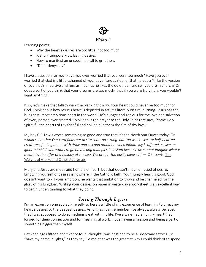

Learning points:

- Why the heart's desires are too little, not too much
- Identify temporary vs. lasting desires
- How to manifest an unspecified call to greatness
- "Don't deny: ally"

I have a question for you: Have you ever worried that you were too much? Have you ever worried that God is a little ashamed of your adventurous side, or that he doesn't like the version of you that's impulsive and fun, as much as he likes the quiet, demure self you are in church? Or does a part of you think that your dreams are too much- that if you were truly holy, you wouldn't want anything?

If so, let's make that fallacy walk the plank right now. Your heart could never be too much for God. Think about how Jesus's heart is depicted in art: it's literally on fire, burning! Jesus has the hungriest, most ambitious heart in the world. He's hungry and zealous for the love and salvation of every person ever created. Think about the prayer to the Holy Spirit that says, "come Holy Spirit, fill the hearts of thy faithful and enkindle in them the fire of thy love."

My boy C.S. Lewis wrote something so good and true that it's the North Star Quote today: *"It would seem that Our Lord finds our desires not too strong, but too weak. We are half-hearted creatures, fooling about with drink and sex and ambition when infinite joy is offered us, like an ignorant child who wants to go on making mud pies in a slum because he cannot imagine what is meant by the offer of a holiday at the sea. We are far too easily pleased."* ― C.S. Lewis, The Weight of Glory, and Other Addresses

Mary and Jesus are meek and humble of heart, but that doesn't mean emptied of desire. Emptying yourself of desires is nowhere in the Catholic faith. Your hungry heart is good. God doesn't want to kill your ambition; he wants that ambition to grow and be channeled for the glory of his Kingdom. Writing your desires on paper in yesterday's worksheet is an excellent way to begin understanding to what they point.

## *Sorting Through Layers*

I'm an expert on one subject- myself- so here's a little of my experience of learning to direct my heart's desires to the deepest desires. As long as I can remember I've always, always believed that I was supposed to do something great with my life. I've always had a hungry heart that longed for deep connection and for meaningful work. I love having a mission and being a part of something bigger than myself.

Between ages fifteen and twenty-four I thought I was destined to be a Broadway actress. To "have my name in lights," as they say. To me, that was the greatest way I could think of to spend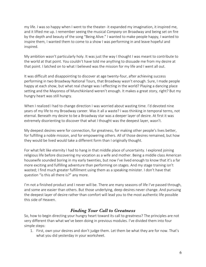my life. I was so happy when I went to the theater- it expanded my imagination, it inspired me, and it lifted me up. I remember seeing the musical *Company* on Broadway and being set on fire by the depth and beauty of the song "Being Alive." I wanted to make people happy, I wanted to inspire them, I wanted them to come to a show I was performing in and leave hopeful and inspired.

My ambition wasn't particularly holy. It was just the way I thought I was meant to contribute to the world at that point. You couldn't have told me anything to dissuade me from my desire at that point. I latched on to what I believed was the mission for my life and I went all out.

It was difficult and disappointing to discover at age twenty-four, after achieving success performing in two Broadway National Tours, that Broadway wasn't enough. Sure, I made people happy at each show, but what real change was I effecting in the world? Playing a dancing place setting and the Mayoress of Munchkinland weren't enough. It makes a great story, right? But my hungry heart was still hungry.

When I realized I had to change direction I was worried about wasting time. I'd devoted nine years of my life to my Broadway career. Was it all a waste? I was thinking in temporal terms, not eternal. Beneath my desire to be a Broadway star was a deeper layer of desire. At first it was extremely disorienting to discover that what I thought was the deepest layer, wasn't.

My deepest desires were for connection, for greatness, for making other people's lives better, for fulfilling a noble mission, and for empowering others. All of those desires remained, but how they would be lived would take a different form than I originally thought.

For what felt like eternity I had to hang in that middle place of uncertainty. I explored joining religious life before discovering my vocation as a wife and mother. Being a middle class American housewife sounded boring in my early twenties, but now I've lived enough to know that it's a far more exciting and fulfilling adventure than performing on stages. And my stage training isn't wasted; I find much greater fulfillment using them as a speaking minister. I don't have that question "is this all there is?" any more.

I'm not a finished product and I never will be. There are many seasons of life I've passed through, and some are easier than others. But those underlying, deep desires never change. And pursuing the deepest layer of desire rather than comfort will lead you to the most authentic life possible this side of Heaven.

## *Finding Your Call to Greatness*

So, how to begin directing your hungry heart toward its call to greatness? The principles are not very different than what we've been doing in previous modules. I've divided them into four simple steps:

1. First, own your desires and don't judge them. Let them be what they are for now. That's what you did yesterday in your worksheet.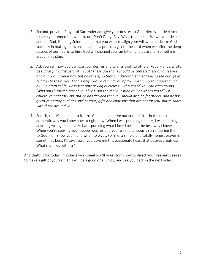- 2. Second, pray the Prayer of Surrender and give your desires to God. Here's a little rhyme to help you remember what to do: Don't Deny: Ally. What that means is own your desires and tell God, like King Solomon did, that you want to align your will with his. Make God your ally in making decisions. It is such a precious gift to the Lord when we offer the deep desires of our hearts to him. God will channel your ambition and desire for something great in his plan.
- *3.* Ask yourself how you can use your desires and talents a gift to others. Pope Francis wrote beautifully in Christus Vivit: (286) *"These questions should be centered less on ourselves and our own inclinations, but on others, so that our discernment leads us to see our life in relation to their lives. That is why I would remind you of the most important question of all. "So often in life, we waste time asking ourselves: 'Who am I?' You can keep asking, 'Who am I?' for the rest of your lives. But the real question is: 'For whom am I?'" Of course, you are for God. But he has decided that you should also be for others, and he has given you many qualities, inclinations, gifts and charisms that are not for you, but to share with those around you."*
- 4. Fourth, there's no need to freeze. Go ahead and live out your desires in the most authentic way you know how to right now. When I was pursuing theater, I wasn't doing anything wrong objectively. I was pursuing what I loved best, in the best way I knew. When you're seeking your deeper desires and you're simultaneously surrendering them to God, he'll show you if and when to pivot. For me, a simple and totally honest prayer is sometimes best. I'll say, "Lord, you gave me this passionate heart that desires greatness. What shall I do with it?"

And that's it for today. In today's worksheet you'll brainstorm how to direct your deepest desires to make a gift of yourself. This will be a good one. Enjoy, and see you back in the next video!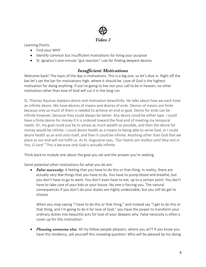

Learning Points:

- Find your WHY
- Identify common but insufficient motivations for living your purpose
- St. Ignatius's one-minute "gut reaction" rule for finding deepest desires

#### *Insufficient Motivations*

Welcome back! The topic of the day is motivations. This is a big one, so let's dive in. Right off the bat let's set the bar for motivations high, where it should be. Love of God is the highest motivation for doing anything. If you're going to live out your call to be in heaven, no other motivation other than love of God will cut it in the long run.

St. Thomas Aquinas explains desire and motivation beautifully. He talks about how we each have an infinite desire. We have desires of means and desires of ends. Desires of means are finite because only so much of them is needed to achieve an end or goal. Desire for ends can be infinite however, because they could always be better. Any desire could be either type. I could have a finite desire for money if it is ordered toward the final end of meeting my temporal needs. Or, my goal could just be to amass as much wealth as possible, and then the desire for money would be infinite. I could desire health as a means to being able to serve God, or I could desire health as an end unto itself, and then it could be infinite. Anything other than God that we place as our end will not fulfill us. As St. Augustine says, *"Our hearts are restless until they rest in You, O Lord."* This is because *only* God is actually infinite.

Think back to module one about the goal you set and the answer you're seeking.

Some potential other motivations for what you do are:

• *False necessity:* A feeling that you have to do this or that thing. In reality, there are actually very few things that you have to do. You have to pump blood and breathe, but you don't have to go to work. You don't even have to eat, up to a certain point. You don't have to take care of your kids or your house. No one is forcing you. The natural consequences if you don't do your duties are highly undesirable, but you still do get to choose.

When you stop saying "I have to do this or that thing," and instead say "I get to do this or that thing, and I'm going to do it for love of God," you have the power to transform your ordinary duties into beautiful acts for love of your deepest why. False necessity is often a cover-up for this motivation:

• *Pleasing someone else.* All my fellow people-pleasers, where you at?? If you know you have this tendency, ask yourself this revealing question: Who will be pleased by my doing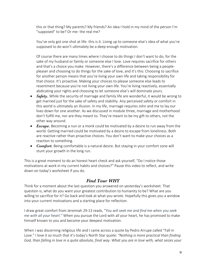this or that thing? My parents? My friends? An idea I hold in my mind of the person I'm "supposed" to be? Or me- the real me?

You've only got one shot at life- this is it. Living up to someone else's idea of what you're supposed to do won't ultimately be a deep enough motivation.

Of course there are many times where I choose to do things I don't want to do, for the sake of my husband or family or someone else I love. Love requires sacrifice for others and that's a choice you make. However, there's a difference between being a peoplepleaser and choosing to do things for the sake of love, and it's this: Choosing to sacrifice for another person means that you're living your own life and taking responsibility for that choice. It's proactive. Making your choices to please someone else leads to resentment because you're not living your own life. You're living reactively, essentially abdicating your rights and choosing to let someone else's will dominate yours.

- *Safety*. While the security of marriage and family life are wonderful, it would be wrong to get married just for the sake of safety and stability. Any perceived safety or comfort in this world is ultimately an illusion. In my life, marriage requires John and me to lay our lives down for one another. As we discussed in module three, marriage and motherhood don't fulfill me, nor are they meant to. They're meant to be my gift to others, not the other way around.
- *Escape*. Becoming a nun or a monk could be motivated by a desire to run away from the world. Getting married could be motivated by a desire to escape from loneliness. Both are reactive rather than proactive choices. You don't want to make your choices as a reaction to something.
- *Comfort.* Being comfortable is a natural desire. But staying in your comfort zone will stunt your growth in the long run.

This is a great moment to do an honest heart check and ask yourself, "Do I notice those motivations at work in my current habits and choices?" Pause this video to reflect, and write down on today's worksheet if you do.

## *Find Your WHY*

Think for a moment about the last question you answered on yesterday's worksheet. That question is, what do you want your greatest contribution to humanity to be? What are you willing to sacrifice for it? Go back and look at what you wrote. Hopefully this gives you a window into your current motivations and a starting place for reflection.

I draw great comfort from Jeremiah 29:13 reads, "*You will seek me and find me when you seek me with all your heart."* When you pursue the Lord with all your heart, he has promised to make himself known to you and become your deepest motivation.

When I was discerning religious life and I came across a quote by Pedro Arrupe called "Fall in Love." I love it so much that it's today's North Star quote: *"Nothing is more practical than finding God, than falling in love in a quite absolute, final way. What you are in love with, what seizes your*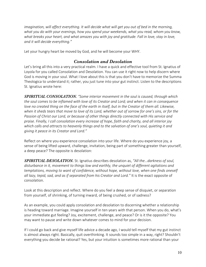*imagination, will affect everything. It will decide what will get you out of bed in the morning, what you do with your evenings, how you spend your weekends, what you read, whom you know, what breaks your heart, and what amazes you with joy and gratitude. Fall in love, stay in love, and it will decide everything."*

Let your hungry heart be moved by God, and he will become your WHY.

#### *Consolation and Desolation*

Let's bring all this into a very practical realm. I have a quick and effective tool from St. Ignatius of Loyola for you called Consolation and Desolation. You can use it right now to help discern where God is moving in your soul. What I love about this is that you don't have to memorize the Summa Theologica to understand it; rather, you just tune into your gut instinct. Listen to the descriptions St. Ignatius wrote here:

*SPIRITUAL CONSOLATION. "Some interior movement in the soul is caused, through which the soul comes to be inflamed with love of its Creator and Lord; and when it can in consequence love no created thing on the face of the earth in itself, but in the Creator of them all. Likewise, when it sheds tears that move to love of its Lord, whether out of sorrow for one's sins, or for the Passion of Christ our Lord, or because of other things directly connected with His service and praise. Finally, I call consolation every increase of hope, faith and charity, and all interior joy which calls and attracts to heavenly things and to the salvation of one's soul, quieting it and giving it peace in its Creator and Lord."*

Reflect on where you experience consolation into your life. Where do you experience joy, a sense of being lifted upward, challenge, invitation, being part of something greater than yourself, a deep peace? The opposite is desolation:

*SPIRITUAL DESOLATION.* St. Ignatius describes desolation as, *"All the…darkness of soul, disturbance in it, movement to things low and earthly, the unquiet of different agitations and temptations, moving to want of confidence, without hope, without love, when one finds oneself all lazy, tepid, sad, and as if separated from his Creator and Lord."* It is the exact opposite of consolation.

Look at this description and reflect. Where do you feel a deep sense of disquiet, or separation from yourself, of shrinking, of turning inward, of being crushed, or of sadness?

As an example, you could apply consolation and desolation to discerning whether a relationship is heading toward marriage. Imagine yourself in ten years with that person. When you do, what's your immediate gut feeling? Joy, excitement, challenge, and peace? Or is it the opposite? You may want to pause and write down whatever comes to mind for your decision.

If I could go back and give myself life advice a decade ago, I would tell myself that my gut instinct is almost always right. Basically, quit overthinking. It sounds too simple in a way, right? Shouldn't everything you decide be rational? Yes, but your intuition is sometimes more rational than your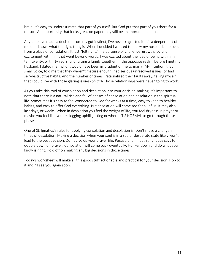brain. It's easy to underestimate that part of yourself. But God put that part of you there for a reason. An opportunity that looks great on paper may still be an imprudent choice.

Any time I've made a decision from my gut instinct, I've never regretted it. It's a deeper part of me that knows what the right thing is. When I decided I wanted to marry my husband, I decided from a place of consolation. It just "felt right." I felt a sense of challenge, growth, joy and excitement with him that went beyond words. I was excited about the idea of being with him in ten, twenty, or thirty years, and raising a family together. In the opposite realm, before I met my husband, I dated men who it would have been imprudent of me to marry. My intuition, that small voice, told me that they weren't mature enough, had serious unresolved issues, or had self-destructive habits. And the number of times I rationalized their faults away, telling myself that I could live with those glaring issues- *oh girl!* Those relationships were never going to work.

As you take this tool of consolation and desolation into your decision-making, it's important to note that there is a natural rise and fall of phases of consolation and desolation in the spiritual life. Sometimes it's easy to feel connected to God for weeks at a time, easy to keep to healthy habits, and easy to offer God everything. But desolation will come too for all of us. It may also last days, or weeks. When in desolation you feel the weight of life, you feel dryness in prayer or maybe you feel like you're slogging uphill getting nowhere. IT'S NORMAL to go through those phases.

One of St. Ignatius's rules for applying consolation and desolation is: Don't make a change in times of desolation. Making a decision when your soul is in a sad or desperate state likely won't lead to the best decision. Don't give up your prayer life. Persist, and in fact St. Ignatius says to double down on prayer! Consolation will come back eventually. Hunker down and do what you know is right. Hold off on making any big decisions in those times.

Today's worksheet will make all this good stuff actionable and practical for your decision. Hop to it and I'll see you again soon.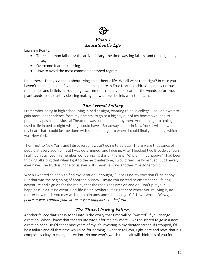

Learning Points:

- Three common fallacies: the arrival fallacy, the time-wasting fallacy, and the originality fallacy
- Overcome fear of suffering
- How to avoid the most common deathbed regrets

Hello there! Today's video is about living an authentic life. We all want that, right? In case you haven't noticed, much of what I've been doing here in True North is addressing many untrue mentalities and beliefs surrounding discernment. You have to clear out the weeds before you plant seeds. Let's start by clearing making a few untrue beliefs walk the plank.

## *The Arrival Fallacy*

I remember being in high school lying in bed at night, wanting to be in college. I couldn't wait to gain more independence from my parents, to go to a big city out of my hometown, and to pursue my passion of Musical Theater. I was sure I'd be happy then. And then I got to college. I used to lie in bed at night wishing I could have a Broadway career in New York. I wished with all my heart that I could just be done with school and get to where I could finally be happy, which was New York.

Then I got to New York, and I discovered it wasn't going to be easy. There were thousands of people at every audition. But I was determined, and I dug in. After I booked two Broadway tours, I still hadn't arrived. I remember wondering "Is this all there is? Why am I not happy?" I had been thinking all along that when I got to the next milestone, I would feel like I'd arrived. But I never, ever have. The truth is, none of us ever will. There's always another milestone to hit.

When I wanted so badly to find my vocation, I thought, "Once I find my vocation I'll be happy." But that was the beginning of another journey! I invite you instead to embrace the lifelong adventure and sign on for the reality that the road goes ever on and on. Don't put your happiness in a future event. Real life isn't elsewhere. It's right here where you're living it, no matter how much you may wish those circumstances to change. C.S. Lewis wrote, *"Never, in peace or war, commit your virtue or your happiness to the future."*

# *The Time-Wasting Fallacy*

Another fallacy that's easy to fall into is the worry that time will be "wasted" if you change direction. When I knew that theater life wasn't for me any more, I was so scared to go in a new direction because I'd spent nine years of my life investing in my theater career. If I stopped, I'd be a failure and all that time would be for nothing. I want to tell you, right here and now, that it's completely okay to change direction! No one who's worth their salt will think less of you for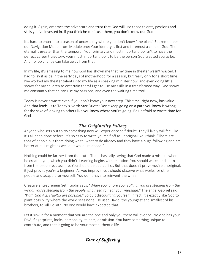doing it. Again, embrace the adventure and trust that God will use those talents, passions and skills you've invested in. If you think he can't use them, you don't know our God.

It's hard to enter into a season of uncertainty where you don't know "the plan." But remember our Navigation Model from Module one: Your identity is first and foremost a child of God. The eternal is greater than the temporal. Your primary and most important job isn't to have the perfect career trajectory; your most important job is to be the person God created you to be. And no job change can take away from that.

In my life, it's amazing to me how God has shown me that my time in theater wasn't wasted. I had to lay it aside in the early days of motherhood for a season, but really only for a short time. I've worked my theater talents into my life as a speaking minister now, and even doing little shows for my children to entertain them! I get to use my skills in a transformed way. God shows me constantly that he can use my passions, and even the waiting time too!

Today is never a waste even if you don't know your next step. This time, right now, has value. And that leads us to Today's North Star Quote: Don't keep going on a path you know is wrong, for the sake of looking to others like you know where you're going. Be unafraid to waste time for God.

# *The Originality Fallacy*

Anyone who sets out to try something new will experience self-doubt. They'll likely will feel like it's all been done before. It's so easy to write yourself off as unoriginal. You think, "There are tons of people out there doing what I want to do already and they have a huge following and are better at it…I might as well quit while I'm ahead."

Nothing could be farther from the truth. That's basically saying that God made a mistake when he created you, which you didn't. Learning begins with imitation. You should watch and learn from the people you admire. You should be bad at first. But that doesn't prove you're unoriginal; it just proves you're a beginner. As you improve, you should observe what works for other people and adapt it for yourself. You don't have to reinvent the wheel!

Creative entrepreneur Seth Godin says, *"When you ignore your calling, you are stealing from the world. You're stealing from the people who need to hear your message."* The angel Gabriel said, *"With God ALL THINGS are possible."* So quit discounting yourself. In fact, it's exactly like God to plant possibility where the world sees none. He used David, the youngest and smallest of his brothers, to kill Goliath. No one would have expected that.

Let it sink in for a moment that you are the one and only you there will ever be. No one has your DNA, fingerprints, looks, personality, talents, or mission. You have something unique to contribute, and that is going to be your most authentic life.

*Fear of Suffering*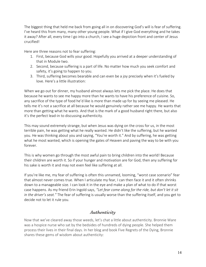The biggest thing that held me back from going all in on discovering God's will is fear of suffering. I've heard this from many, many other young people. What if I give God everything and he takes it away? After all, every time I go into a church, I see a huge depiction front and center of Jesus crucified!

Here are three reasons not to fear suffering:

- 1. First, because God wills your good. Hopefully you arrived at a deeper understanding of that in Module two.
- 2. Second, because suffering is a part of life. No matter how much you seek comfort and safety, it's going to happen to you.
- 3. Third, suffering becomes bearable and can even be a joy precisely when it's fueled by love. Here's a little illustration:

When we go out for dinner, my husband almost always lets me pick the place. He does that because he wants to see me happy more than he wants to have his preference of cuisine. So, any sacrifice of the type of food he'd like is more than made up for by seeing me pleased. He tells me it's not a sacrifice at all because he would genuinely rather see me happy. He wants that more than getting what he wants. And that is the mark of a good husband right there, but also it's the perfect lead-in to discussing authenticity.

This may sound extremely strange, but when Jesus was dying on the cross for us, in the most terrible pain, he was getting what he really wanted. He didn't like the suffering, but he wanted you. He was thinking about you and saying, "You're worth it." And by suffering, he was getting what he most wanted, which is opening the gates of Heaven and paving the way to be with you forever.

This is why women go through the most awful pain to bring children into the world! Because their children are worth it. So if your hunger and motivation are for God, then any suffering for his sake is worth it and may not even feel like suffering at all.

If you're like me, my fear of suffering is often this unnamed, looming, "worst case scenario" fear that almost never comes true. When I articulate my fear, I can then face it and it often shrinks down to a manageable size. I can look it in the eye and make a plan of what to do if that worst case happens. As my friend Erin Ingold says, *"Let fear come along for the ride, but don't let it sit in the driver's seat."* The fear of suffering is usually worse than the suffering itself, and you get to decide not to let it rule you.

## *Authenticity*

Now that we've cleared away those weeds, let's chat a little about authenticity. Bronnie Ware was a hospice nurse who sat by the bedsides of hundreds of dying people. She helped them process their lives in their final days. In her blog and book Five Regrets of the Dying, Bronnie shares these gems of wisdom about authenticity: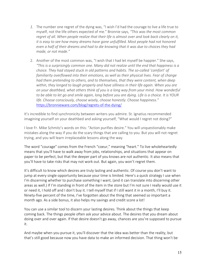- *1.* The number one regret of the dying was, "I wish I'd had the courage to live a life true to myself, not the life others expected of me." Bronnie says, *"This was the most common*  regret of all. When people realize that their life is almost over and look back clearly on it, *it is easy to see how many dreams have gone unfulfilled. Most people had not honored even a half of their dreams and had to die knowing that it was due to choices they had made, or not made."*
- 2. Another of the most common was, "I wish that I had let myself be happier." She says, *"This is a surprisingly common one. Many did not realize until the end that happiness is a choice. They had stayed stuck in old patterns and habits. The so-called 'comfort' of familiarity overflowed into their emotions, as well as their physical lives. Fear of change had them pretending to others, and to themselves, that they were content, when deep within, they longed to laugh properly and have silliness in their life again. When you are on your deathbed, what others think of you is a long way from your mind. How wonderful to be able to let go and smile again, long before you are dying. Life is a choice. It is YOUR life. Choose consciously, choose wisely, choose honestly. Choose happiness."* https://bronnieware.com/blog/regrets-of-the-dying/

It's incredible to find synchronicity between writers you admire. St. Ignatius recommended imagining yourself on your deathbed and asking yourself, "What would I regret not doing?"

I love Fr. Mike Schmitz's words on this: "Action purifies desire." You will unquestionably make mistakes along the way if you do the scary things that are calling to you. But you will not regret trying, and you will learn irreplaceable lessons along the way.

The word "courage" comes from the French "coeur," meaning "heart." To live wholeheartedly means that you'll have to walk away from jobs, relationships, and situations that appear on paper to be perfect, but that the deeper part of you knows are not authentic. It also means that you'll have to take risks that may not work out. But again, you won't regret them.

It's difficult to know which desires are truly lasting and authentic. Of course you don't want to jump at every single opportunity because your time is limited. Here's a quick strategy I use when I'm discerning whether to purchase something I want, (and it can translate into discerning other areas as well.) If I'm standing in front of the item in the store but I'm not sure I really would use it or need it, I hold off and I don't buy it. I tell myself that if I still want it in a month, I'll buy it. Ninety-five percent of the time, I've forgotten about the thing that seemed so important a month ago. As a side bonus, it also helps my savings and credit score a lot!

You can use a similar tool to discern your lasting desires. Think about the things that keep coming back. The things people often ask your advice about. The desires that you dream about doing over and over again. If that desire doesn't go away, chances are you're supposed to pursue it.

And maybe when you pursue it, you'll discover that the idea was better than the reality, but that's still good because now you have data to make an informed decision. That thing won't be